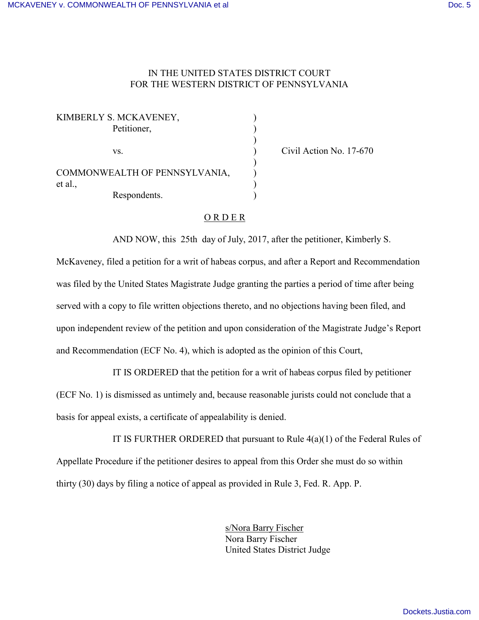## IN THE UNITED STATES DISTRICT COURT FOR THE WESTERN DISTRICT OF PENNSYLVANIA

| KIMBERLY S. MCKAVENEY,        |  |
|-------------------------------|--|
| Petitioner,                   |  |
|                               |  |
| VS.                           |  |
|                               |  |
| COMMONWEALTH OF PENNSYLVANIA, |  |
| et al.,                       |  |
| Respondents.                  |  |

Civil Action No. 17-670

## O R D E R

AND NOW, this 25th day of July, 2017, after the petitioner, Kimberly S.

McKaveney, filed a petition for a writ of habeas corpus, and after a Report and Recommendation was filed by the United States Magistrate Judge granting the parties a period of time after being served with a copy to file written objections thereto, and no objections having been filed, and upon independent review of the petition and upon consideration of the Magistrate Judge's Report and Recommendation (ECF No. 4), which is adopted as the opinion of this Court,

IT IS ORDERED that the petition for a writ of habeas corpus filed by petitioner (ECF No. 1) is dismissed as untimely and, because reasonable jurists could not conclude that a basis for appeal exists, a certificate of appealability is denied.

IT IS FURTHER ORDERED that pursuant to Rule  $4(a)(1)$  of the Federal Rules of Appellate Procedure if the petitioner desires to appeal from this Order she must do so within thirty (30) days by filing a notice of appeal as provided in Rule 3, Fed. R. App. P.

> s/Nora Barry Fischer Nora Barry Fischer United States District Judge